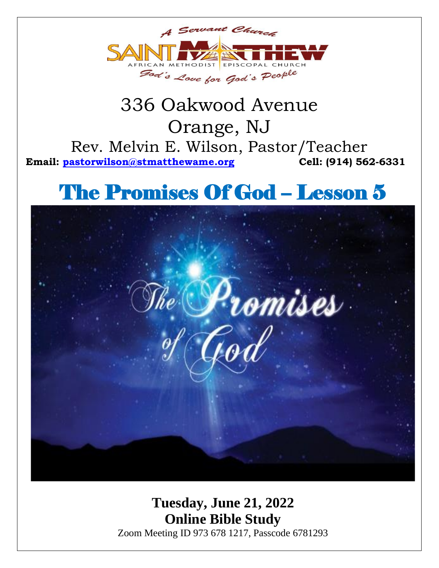

## 336 Oakwood Avenue Orange, NJ Rev. Melvin E. Wilson, Pastor/Teacher **Email: [pastorwilson@stmatthewame.org](mailto:pastorwilson@stmatthewame.org) Cell: (914) 562-6331**

# The Promises Of God – Lesson 5



**Tuesday, June 21, 2022 Online Bible Study** Zoom Meeting ID 973 678 1217, Passcode 6781293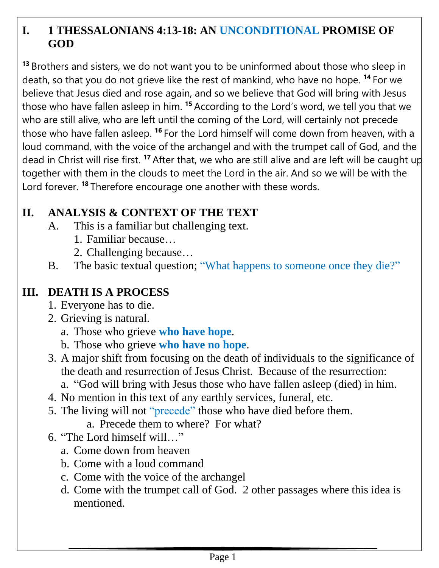## **I. 1 THESSALONIANS 4:13-18: AN UNCONDITIONAL PROMISE OF GOD**

**<sup>13</sup>** Brothers and sisters, we do not want you to be uninformed about those who sleep in death, so that you do not grieve like the rest of mankind, who have no hope. **<sup>14</sup>** For we believe that Jesus died and rose again, and so we believe that God will bring with Jesus those who have fallen asleep in him. **<sup>15</sup>** According to the Lord's word, we tell you that we who are still alive, who are left until the coming of the Lord, will certainly not precede those who have fallen asleep. **<sup>16</sup>** For the Lord himself will come down from heaven, with a loud command, with the voice of the archangel and with the trumpet call of God, and the dead in Christ will rise first. **<sup>17</sup>** After that, we who are still alive and are left will be caught up together with them in the clouds to meet the Lord in the air. And so we will be with the Lord forever. **<sup>18</sup>** Therefore encourage one another with these words.

## **II. ANALYSIS & CONTEXT OF THE TEXT**

- A. This is a familiar but challenging text.
	- 1. Familiar because…
	- 2. Challenging because…
- B. The basic textual question; "What happens to someone once they die?"

## **III. DEATH IS A PROCESS**

- 1. Everyone has to die.
- 2. Grieving is natural.
	- a. Those who grieve **who have hope**.
	- b. Those who grieve **who have no hope**.
- 3. A major shift from focusing on the death of individuals to the significance of the death and resurrection of Jesus Christ. Because of the resurrection:
	- a. "God will bring with Jesus those who have fallen asleep (died) in him.
- 4. No mention in this text of any earthly services, funeral, etc.
- 5. The living will not "precede" those who have died before them.
	- a. Precede them to where? For what?
- 6. "The Lord himself will…"
	- a. Come down from heaven
	- b. Come with a loud command
	- c. Come with the voice of the archangel
	- d. Come with the trumpet call of God. 2 other passages where this idea is mentioned.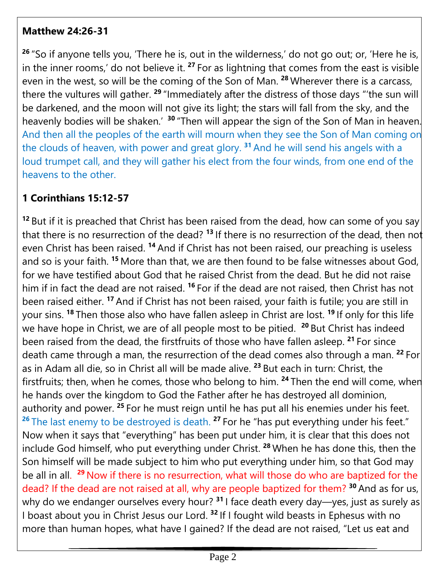#### **Matthew 24:26-31**

**<sup>26</sup>** "So if anyone tells you, 'There he is, out in the wilderness,' do not go out; or, 'Here he is, in the inner rooms,' do not believe it. **<sup>27</sup>** For as lightning that comes from the east is visible even in the west, so will be the coming of the Son of Man. **<sup>28</sup>** Wherever there is a carcass, there the vultures will gather. **<sup>29</sup>** "Immediately after the distress of those days "'the sun will be darkened, and the moon will not give its light; the stars will fall from the sky, and the heavenly bodies will be shaken.' <sup>30</sup> "Then will appear the sign of the Son of Man in heaven. And then all the peoples of the earth will mourn when they see the Son of Man coming on the clouds of heaven, with power and great glory. **<sup>31</sup>** And he will send his angels with a loud trumpet call, and they will gather his elect from the four winds, from one end of the heavens to the other.

## **1 Corinthians 15:12-57**

**<sup>12</sup>** But if it is preached that Christ has been raised from the dead, how can some of you say that there is no resurrection of the dead? **<sup>13</sup>** If there is no resurrection of the dead, then not even Christ has been raised. <sup>14</sup> And if Christ has not been raised, our preaching is useless and so is your faith. **<sup>15</sup>** More than that, we are then found to be false witnesses about God, for we have testified about God that he raised Christ from the dead. But he did not raise him if in fact the dead are not raised. <sup>16</sup> For if the dead are not raised, then Christ has not been raised either. **<sup>17</sup>** And if Christ has not been raised, your faith is futile; you are still in your sins. **<sup>18</sup>** Then those also who have fallen asleep in Christ are lost. **<sup>19</sup>** If only for this life we have hope in Christ, we are of all people most to be pitied. **<sup>20</sup>** But Christ has indeed been raised from the dead, the firstfruits of those who have fallen asleep. **<sup>21</sup>** For since death came through a man, the resurrection of the dead comes also through a man. **<sup>22</sup>** For as in Adam all die, so in Christ all will be made alive. **<sup>23</sup>** But each in turn: Christ, the firstfruits; then, when he comes, those who belong to him. **<sup>24</sup>** Then the end will come, when he hands over the kingdom to God the Father after he has destroyed all dominion, authority and power. **<sup>25</sup>** For he must reign until he has put all his enemies under his feet. <sup>26</sup> The last enemy to be destroyed is death. <sup>27</sup> For he "has put everything under his feet." Now when it says that "everything" has been put under him, it is clear that this does not include God himself, who put everything under Christ. **<sup>28</sup>** When he has done this, then the Son himself will be made subject to him who put everything under him, so that God may be all in all. **<sup>29</sup>** Now if there is no resurrection, what will those do who are baptized for the dead? If the dead are not raised at all, why are people baptized for them? **<sup>30</sup>** And as for us, why do we endanger ourselves every hour? <sup>31</sup> I face death every day—yes, just as surely as I boast about you in Christ Jesus our Lord. **<sup>32</sup>** If I fought wild beasts in Ephesus with no more than human hopes, what have I gained? If the dead are not raised, "Let us eat and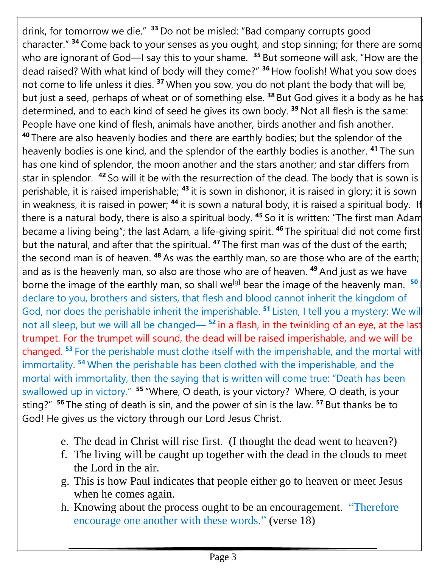drink, for tomorrow we die." **<sup>33</sup>** Do not be misled: "Bad company corrupts good character." **<sup>34</sup>** Come back to your senses as you ought, and stop sinning; for there are some who are ignorant of God—I say this to your shame. **<sup>35</sup>** But someone will ask, "How are the dead raised? With what kind of body will they come?" **<sup>36</sup>** How foolish! What you sow does not come to life unless it dies. **<sup>37</sup>** When you sow, you do not plant the body that will be, but just a seed, perhaps of wheat or of something else. <sup>38</sup> But God gives it a body as he has determined, and to each kind of seed he gives its own body. **<sup>39</sup>** Not all flesh is the same: People have one kind of flesh, animals have another, birds another and fish another. **<sup>40</sup>** There are also heavenly bodies and there are earthly bodies; but the splendor of the heavenly bodies is one kind, and the splendor of the earthly bodies is another. **<sup>41</sup>** The sun has one kind of splendor, the moon another and the stars another; and star differs from star in splendor. **<sup>42</sup>** So will it be with the resurrection of the dead. The body that is sown is perishable, it is raised imperishable; **<sup>43</sup>** it is sown in dishonor, it is raised in glory; it is sown in weakness, it is raised in power; <sup>44</sup> it is sown a natural body, it is raised a spiritual body. If there is a natural body, there is also a spiritual body. **<sup>45</sup>** So it is written: "The first man Adam became a living being"; the last Adam, a life-giving spirit. **<sup>46</sup>** The spiritual did not come first, but the natural, and after that the spiritual. **<sup>47</sup>** The first man was of the dust of the earth; the second man is of heaven. <sup>48</sup> As was the earthly man, so are those who are of the earth; and as is the heavenly man, so also are those who are of heaven. **<sup>49</sup>** And just as we have borne the image of the earthly man, so shall we<sup>[\[g\]](https://www.biblegateway.com/passage/?search=1+cor+15&version=NIV#fen-NIV-28768g)</sup> bear the image of the heavenly man. <sup>50</sup> declare to you, brothers and sisters, that flesh and blood cannot inherit the kingdom of God, nor does the perishable inherit the imperishable. **<sup>51</sup>** Listen, I tell you a mystery: We will not all sleep, but we will all be changed— **<sup>52</sup>** in a flash, in the twinkling of an eye, at the last trumpet. For the trumpet will sound, the dead will be raised imperishable, and we will be changed. **<sup>53</sup>** For the perishable must clothe itself with the imperishable, and the mortal with immortality. **<sup>54</sup>** When the perishable has been clothed with the imperishable, and the mortal with immortality, then the saying that is written will come true: "Death has been swallowed up in victory." **<sup>55</sup>** "Where, O death, is your victory? Where, O death, is your sting?" **<sup>56</sup>** The sting of death is sin, and the power of sin is the law. **<sup>57</sup>** But thanks be to God! He gives us the victory through our Lord Jesus Christ.

- e. The dead in Christ will rise first. (I thought the dead went to heaven?)
- f. The living will be caught up together with the dead in the clouds to meet the Lord in the air.
- g. This is how Paul indicates that people either go to heaven or meet Jesus when he comes again.
- h. Knowing about the process ought to be an encouragement. "Therefore encourage one another with these words." (verse 18)